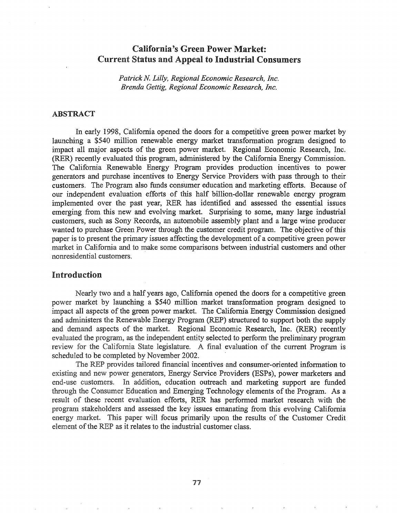# California's Green Power Market: Current Status and Appeal to Industrial Consumers

*Patrick N Lilly, Regional Economic Research, Inc. Brenda Gettig, Regional Economic Research, Inc.*

### ABSTRACT

In eariy 1998, California opened the doors for a competitive green power market by launching a \$540 million renewable energy market transformation program designed to impact all major aspects of the green power market. Regional Economic Research, Inc. (RER) recently evaluated this program, administered by the California Energy Commission. The California Renewable Energy Program provides production incentives to power generators and purchase incentives to Energy Service Providers with pass through to their customers. The Program also funds consumer education and marketing efforts. Because of our independent evaluation efforts of this half billion-dollar renewable energy program implemented over the past year, RER has identified and assessed the essential issues emerging from this new and evolving market. Surprising to some, many large industrial customers, such as Sony Records, an automobile assembly plant and a large wine producer wanted to purchase Green Power through the customer credit program. The objective of this paper is to present the primary issues affecting the development of a competitive green power market in California and to make some comparisons between industrial customers and other nonresidential customers.

## Introduction

Nearly two and a half years ago, California opened the doors for a competitive green market by launching a \$540 million market transformation program designed to impact all aspects of the green power market. The California Energy Commission designed and administers the Renewable Energy Program (REP) structured to support both the supply and demand aspects of the market. Regional Economic Research, Inc. (RER) recently evaluated the program, as the independent entity selected to perform the preliminary program review for the California State legislature. A final evaluation of the current Program is scheduled to be completed by November 2002.

The REP provides tailored financial incentives and consumer-oriented information to existing and new power generators, Energy Service Providers (ESPs), power marketers and end-use customers. In addition, education outreach and marketing support are funded through the Consumer Education and Emerging Technology elements of the Program. As a result of these recent evaluation efforts, RER has performed market research with the program stakeholders and assessed the key issues emanating from this evolving California energy market. This paper will focus primarily upon the results of the Customer Credit  $\alpha$  element of the REP as it relates to the industrial customer class.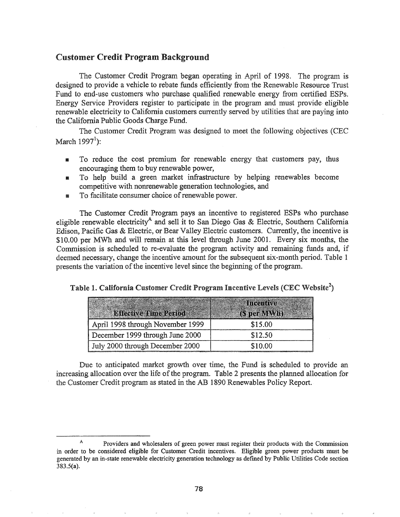## Customer Credit Program Background

The Customer Credit Program began operating in April of 1998. The program is designed to provide a vehicle to rebate funds efficiently from the Renewable Resource Trust Fund to end-use customers who purchase qualified renewable energy from certified ESPs. Energy Service Providers register to participate in the program and must provide-eligible renewable electricity to California customers currently served by utilities that are paying into the California Public Goods Charge Fund\*

The Customer Credit Program was designed to meet the following objectives (CEC March 1997<sup>1</sup>):

- III To reduce the cost premium for renewable energy that customers pay, thus encouraging them to buy renewable power,
- **IF** To help build a green market infrastructure by helping renewables become competitive with nonrenewable generation technologies, and
- $\blacksquare$  To facilitate consumer choice of renewable power.

The Customer Credit Program pays an incentive to registered ESPs who purchase eligible renewable electricity<sup>A</sup> and sell it to San Diego Gas & Electric, Southern California Edison, Pacific Gas & Electric, or Bear Valley Electric customers. Currently, the incentive is \$10.00 per MWh and will remain at this level through June 2001. Every six months, the Commission is scheduled to re-evaluate the program activity and remaining funds and, if deemed necessary, change the incentive amount for the subsequent six-month period. Table 1 presents the variation of the incentive level since the beginning of the program.

| Table 1. California Customer Credit Program Incentive Levels (CEC Website <sup>2</sup> ) |  |  |  |  |
|------------------------------------------------------------------------------------------|--|--|--|--|
|                                                                                          |  |  |  |  |
|                                                                                          |  |  |  |  |
|                                                                                          |  |  |  |  |

|                                  | Antecntive  |
|----------------------------------|-------------|
| <b>Effective Time Period:</b>    | (S per MWh) |
| April 1998 through November 1999 | \$15.00     |
| December 1999 through June 2000  | \$12.50     |
| July 2000 through December 2000  | \$10.00     |

Due to anticipated market growth over time, the Fund is scheduled to provide an increasing allocation over the life of the program. Table 2 presents the planned allocation for the Customer Credit program as stated in the AB 1890 Renewables Policy Report.

<sup>A</sup> Providers and wholesalers of green power must register their products with the Commission in order to be considered eligible for Customer Credit incentives. Eligible green power products must be generated by an in-state renewable electricity generation technology as defmed by Public Utilities Code section 383.5(a).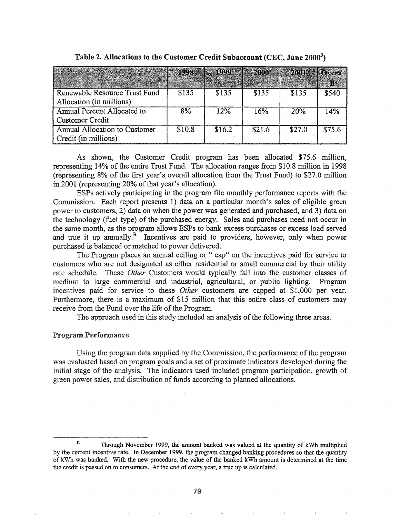|                                                           | 1008.  | <b>SKOOD</b> | 2000   | 2001   | <b>HIOWAPA</b> |
|-----------------------------------------------------------|--------|--------------|--------|--------|----------------|
| Renewable Resource Trust Fund<br>Allocation (in millions) | \$135  | \$135        | \$135  | \$135  | \$540          |
| Annual Percent Allocated to<br><b>Customer Credit</b>     | 8%     | 12%          | 16%    | 20%    | 14%            |
| Annual Allocation to Customer<br>Credit (in millions)     | \$10.8 | \$16.2       | \$21.6 | \$27.0 | \$75.6         |

Table 2. Allocations to the Customer Credit Subaccount (CEC, June 2000 $^3$ )

As shown, the Customer Credit program has been allocated \$75.6 million, representing 14% of the entire Trust Fund. The allocation ranges from \$10.8 million in 1998 (representing 8% of the first year's overall allocation from the Trust Fund) to \$27.0 million in 2001 (representing 20% of that year's allocation).

ESPs actively participating in the program file monthly performance reports with the Commission. Each report presents 1) data on a particular month's sales of eligible green power to customers, 2) data on when the power was generated and purchased, and 3) data on the technology (fuel type) of the purchased energy. Sales and purchases need not occur in the same month, as the program allows ESPs to bank excess purchases or excess load served and true it up annually. $B$  Incentives are paid to providers, however, only when power purchased is balanced or matched to power delivered.

The Program places an annual ceiling or " cap" on the incentives paid for service to customers who are not designated as either residential or small commercial by their utility rate schedule. These *Other* Customers would typically fall into the customer classes of medium to large commercial and industrial, agricultural, or public lighting. Program incentives paid for service to these *Other* customers are capped at \$1,000 pet year. Furthermore, there is a maximum of \$15 million that this entire class of customers may receive from the Fund over the life of the Program.

The approach used in this study included an analysis of the following three areas.

### **Program Performance**

Using the program data supplied by the Commission, the performance of the program was evaluated based on program goals and a set of proximate indicators developed during the initial stage of the analysis. The indicators used included program participation, growth of green power sales, and distribution of funds according to planned allocations.

B Through November 1999, the amount banked was valued at the quantity of kWh multiplied by the current incentive rate. In December 1999, the program changed banking procedures so that the quantity of kWh was banked. With the new procedure, the value of the banked kWh amount is determined at the time the credit is passed on to consumers. At the end of every year, a true up is calculated.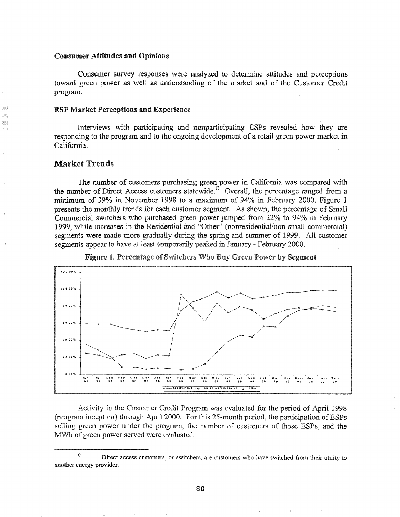#### Consumer Attitudes and Opinions

Consumer survey responses were analyzed to determine attitudes and perceptions toward green power as well as understanding of the market and of the Customer Credit program.

#### ESP Market Perceptions and Experience

Interviews with participating and nonparticipating ESPs revealed how they are responding to the program and to the ongoing development of a retail green power market in California.

## Market Trends

m

¥.

The number of customers purchasing green power in California was compared with the number of Direct Access customers statewide.<sup>C</sup> Overall, the percentage ranged from a minimum of 39% in November 1998 to a maximum of 94% in February 2000. Figure 1 presents the monthly trends for each customer segment. As shown, the percentage of Small Commercial switchers who purchased green power jumped from 22% to 94% in February 1999, while increases in the Residential and "Other" (nonresidential/non-small commercial) segments were made more gradually during the spring and summer of 1999. All customer segments appear to have at least temporarily peaked in January - February 2000.



Figure 1. Percentage of Switchers Who Buy Green Power by Segment

Activity in the Customer Credit Program was evaluated for the period of April 1998 (program inception) through April 2000. For this 25-month period, the participation of ESPs selling green power under the program, the number of customers of those ESPs, and the MWh of green power served were evaluated.

c Direct access customers, or switchers, are customers who have switched from their utility to another energy provider.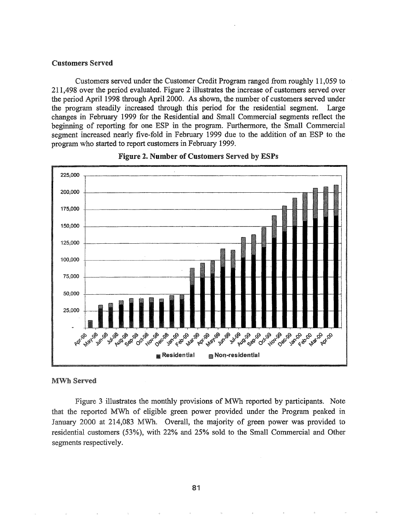#### Customers Served

Customers served under the Customer Credit Program ranged from roughly 11,059 to 211,498 over the period evaluated. Figure 2 illustrates the increase of customers served over the period April 1998 through April 2000. As shown, the number of customers served under the program steadily increased through this period for the residential segment. Large changes in February 1999 for the Residential and Small Commercial segments reflect the beginning of reporting for one ESP in the program. Furthermore, the Small Commercial segment increased nearly five-fold in February 1999 due to the addition of an ESP to the program who started to report customers in February 1999.





#### MWh Served

Figure 3 illustrates the monthly provisions of MWh reported by participants. Note that the reported MWh of eligible green power provided under the Program peaked in January 2000 at 214,083 MWh. Overall, the majority of green power was provided to residential customers (53%), with 22% and 25% sold to the Small Commercial and Other segments respectively.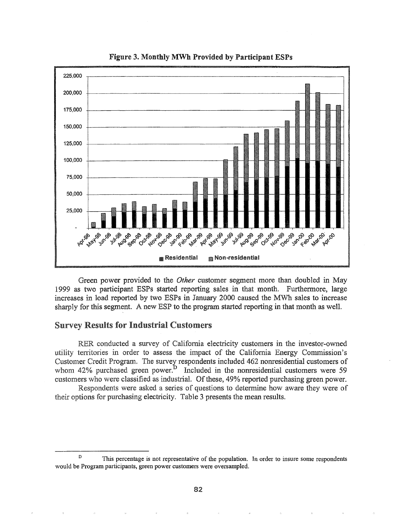

Figure 3. Monthly MWh Provided by Participant ESPs

Green power provided to the *Other* customer segment more than doubled in May 1999 as two participant ESPs started reporting sales in that month. Furthennore, large increases in load reported by two ESPs in January 2000 caused the MWh sales to increase sharply for this segment. A new ESP to the program started reporting in that month as welL

### **Survey Results for Industrial Customers**

RER conducted a survey of California electricity customers in the investor-owned utility territories in order to assess the impact of the California Energy Commission's Customer Credit Program. The survey respondents included 462 nonresidential customers of  $42\%$  purchased green power.<sup>D</sup> Included in the nonresidential customers were 59 customers who were classified as industrial. Of these, 49% reported purchasing green power.

Respondents were asked a series of questions to determine how aware they were of their options for purchasing electricity. Table 3 presents the mean results.

<sup>&</sup>lt;sup>D</sup> This percentage is not representative of the population. In order to insure some respondents would be Program participants, green power customers were oversampled.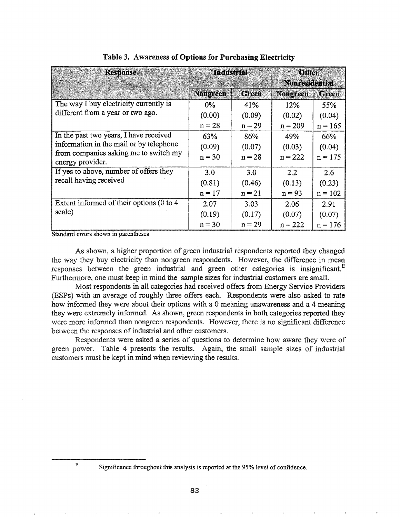| <b>Response</b>                                           | Industrial      |              | Office<br><b>Nonresidential</b> |              |  |
|-----------------------------------------------------------|-----------------|--------------|---------------------------------|--------------|--|
|                                                           | <b>Nongreen</b> | <b>Green</b> | Nongreen                        | <b>Green</b> |  |
| The way I buy electricity currently is                    | $0\%$           | 41%          | 12%                             | 55%          |  |
| different from a year or two ago.                         | (0.00)          | (0.09)       | (0.02)                          | (0.04)       |  |
|                                                           | $n = 28$        | $n = 29$     | $n = 209$                       | $n = 165$    |  |
| In the past two years, I have received                    | 63%             | 86%          | 49%                             | 66%          |  |
| information in the mail or by telephone                   | (0.09)          | (0.07)       | (0.03)                          | (0.04)       |  |
| from companies asking me to switch my<br>energy provider. | $n = 30$        | $n = 28$     | $n = 222$                       | $n = 175$    |  |
| If yes to above, number of offers they                    | 3.0             | 3.0          | 2.2                             | 2.6          |  |
| recall having received                                    | (0.81)          | (0.46)       | (0.13)                          | (0.23)       |  |
|                                                           | $n = 17$        | $n = 21$     | $n = 93$                        | $n = 102$    |  |
| Extent informed of their options (0 to 4                  | 2.07            | 3.03         | 2.06                            | 2.91         |  |
| scale)                                                    | (0.19)          | (0.17)       | (0.07)                          | (0.07)       |  |
|                                                           | $n = 30$        | $n = 29$     | $n = 222$                       | $n = 176$    |  |

Standard errors shown in parentheses

As shown, a higher proportion of green industrial respondents reported they changed the way they buy electricity than nongreen respondents. However, the difference in mean responses between the green industrial and green other categories is insignificant.<sup>E</sup> Furthermore, one must keep in mind the sample sizes for industrial customers are small.

Most respondents in all categories had received offers from Energy Service Providers (ESPs) with an average of roughly three offers each. Respondents were also asked to rate how informed they were about their options with a 0 meaning unawareness and a 4 meaning they were extremely informed. As shown, green respondents in both categories reported they were more informed than nongreen respondents. However, there is no significant difference between the responses of industrial and other customers.

Respondents were asked a series of questions to determine how aware they were of green power. Table 4 presents the results. Again, the small sample sizes of industrial customers must be kept in mind when reviewing the results.

<sup>E</sup> Significance throughout this analysis is reported at the 95% level of confidence.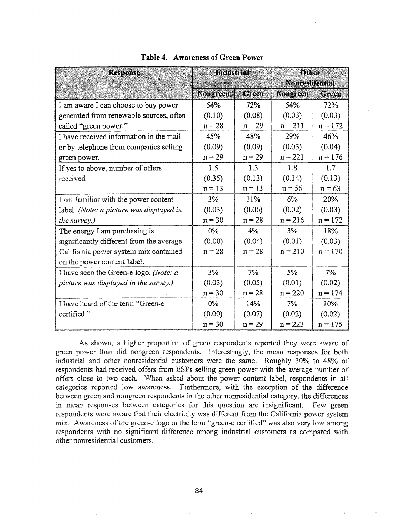| <b>Response</b>                          | <b>Industrial</b> |              | Other<br><b>Nonresidential</b> |           |  |
|------------------------------------------|-------------------|--------------|--------------------------------|-----------|--|
|                                          | <b>Nongreen</b>   | <b>Green</b> | Nongreen                       | Green     |  |
| I am aware I can choose to buy power     | 54%               | 72%          | 54%                            | 72%       |  |
| generated from renewable sources, often  | (0.10)            | (0.08)       | (0.03)                         | (0.03)    |  |
| called "green power."                    | $n = 28$          | $n = 29$     | $n = 211$                      | $n = 172$ |  |
| I have received information in the mail  | 45%               | 48%          | 29%                            | 46%       |  |
| or by telephone from companies selling   | (0.09)            | (0.09)       | (0.03)                         | (0.04)    |  |
| green power.                             | $n = 29$          | $n = 29$     | $n = 221$                      | $n = 176$ |  |
| If yes to above, number of offers        | 1.5               | 1.3          | 1.8                            | 1.7       |  |
| received                                 | (0.35)            | (0.13)       | (0.14)                         | (0.13)    |  |
|                                          | $n = 13$          | $n = 13$     | $n = 56$                       | $n = 63$  |  |
| I am familiar with the power content     | 3%                | 11%          | $6\%$                          | 20%       |  |
| label. (Note: a picture was displayed in | (0.03)            | (0.06)       | (0.02)                         | (0.03)    |  |
| the survey.)                             | $n = 30$          | $n = 28$     | $n = 216$                      | $n = 172$ |  |
| The energy I am purchasing is            | $0\%$             | 4%           | 3%                             | 18%       |  |
| significantly different from the average | (0.00)            | (0.04)       | (0.01)                         | (0.03)    |  |
| California power system mix contained    | $n = 28$          | $n = 28$     | $n = 210$                      | $n = 170$ |  |
| on the power content label.              |                   |              |                                |           |  |
| I have seen the Green-e logo. (Note: a   | 3%                | $7\%$        | $5\%$                          | 7%        |  |
| picture was displayed in the survey.)    | (0.03)            | (0.05)       | (0.01)                         | (0.02)    |  |
|                                          | $n = 30$          | $n = 28$     | $n = 220$                      | $n = 174$ |  |
| I have heard of the term "Green-e        | $0\%$             | 14%          | 7%                             | 10%       |  |
| certified."                              | (0.00)            | (0.07)       | (0.02)                         | (0.02)    |  |
|                                          | $n = 30$          | $n = 29$     | $n = 223$                      | $n = 175$ |  |

### Table 4. Awareness of Green Power

As shown, a higher proportion of green respondents reported they were aware of green power than did nongreen respondents. Interestingly, the mean responses for both industrial and other nonresidential customers were the same. Roughly 30% to 48% of respondents had received offers from ESPs selling green power with the average number of offers close to two each. When asked about the power content label, respondents in all categories reported low awareness. Furthermore, with the exception of the difference between green and nongreen respondents in the other nonresidential category, the differences in mean responses between categories for this question are insignificant. Few green respondents were aware that their electricity was different from the California power system mix. Awareness of the green-e logo or the term "green-e certified" was also very low among respondents with no significant difference among industrial customers as compared with other nonresidential customers"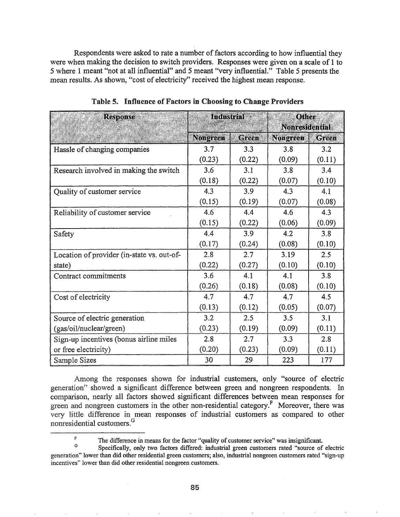Respondents were asked to rate a number of factors according to how influential they were when making the decision to switch providers. Responses were given on a scale of 1 to 5 where 1 meant "not at all influential" and 5 meant "very influential." Table 5 presents the mean results. As shown, "cost of electricity" received the highest mean response.

| <b>Response</b>                            | <b>Industrial</b> |              | Other           |                       |  |  |
|--------------------------------------------|-------------------|--------------|-----------------|-----------------------|--|--|
|                                            |                   |              |                 | <b>Nonresidential</b> |  |  |
|                                            | <b>Nongreen</b>   | <b>Green</b> | <b>Nongreen</b> | <b>Green</b>          |  |  |
| Hassle of changing companies               | 3.7               | 3.3          | 3.8             | 3.2                   |  |  |
|                                            | (0.23)            | (0.22)       | (0.09)          | (0.11)                |  |  |
| Research involved in making the switch     | 3.6               | 3.1          | 3.8             | 3.4                   |  |  |
|                                            | (0.18)            | (0.22)       | (0.07)          | (0.10)                |  |  |
| Quality of customer service                | 4.3               | 3.9          | 4.3             | 4.1                   |  |  |
|                                            | (0.15)            | (0.19)       | (0.07)          | (0.08)                |  |  |
| Reliability of customer service            | 4.6               | 4.4          | 4.6             | 4.3                   |  |  |
|                                            | (0.15)            | (0.22)       | (0.06)          | (0.09)                |  |  |
| Safety                                     | 4.4               | 3.9          | 4.2             | 3.8                   |  |  |
|                                            | (0.17)            | (0.24)       | (0.08)          | (0.10)                |  |  |
| Location of provider (in-state vs. out-of- | 2.8               | 2.7          | 3.19            | 2.5                   |  |  |
| state)                                     | (0.22)            | (0.27)       | (0.10)          | (0.10)                |  |  |
| Contract commitments                       | 3.6               | 4.1          | 4.1             | 3.8                   |  |  |
|                                            | (0.26)            | (0.18)       | (0.08)          | (0.10)                |  |  |
| Cost of electricity                        | 4.7               | 4.7          | 4.7             | 4.5                   |  |  |
|                                            | (0.13)            | (0.12)       | (0.05)          | (0.07)                |  |  |
| Source of electric generation              | 3.2               | 2.5          | 3.5             | 3.1                   |  |  |
| (gas/oil/nuclear/green)                    | (0.23)            | (0.19)       | (0.09)          | (0.11)                |  |  |
| Sign-up incentives (bonus airline miles    | 2.8               | 2.7          | 3.3             | 2.8                   |  |  |
| or free electricity)                       | (0.20)            | (0.23)       | (0.09)          | (0.11)                |  |  |
| Sample Sizes                               | 30                | 29           | 223             | 177                   |  |  |

Table 5. Influence of Factors in Choosing to Change Providers

Among the responses shown for industrial customers, only "source of electric generation" showed a significant difference between green and nongreen respondents. In comparison, nearly all factors showed significant differences between mean responses for green and nongreen customers in the other non-residential category.<sup>F</sup> Moreover, there was very little difference in mean responses of industrial customers as compared to other nonresidential customers.<sup>G</sup>

F The difference in means for the factor "quality of customer service" was insignificant.

G Specifically, only two factors differed: industrial green customers rated "source of electric generation" lower than did other residential green customers; also, industrial nongreen customers rated "sign-up incentives" lower than did other residential nongreen customers.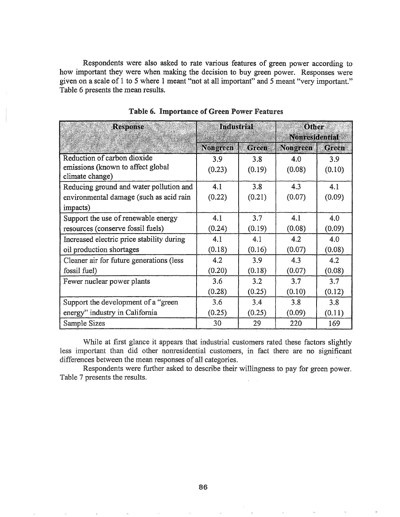Respondents were also asked to rate various features of green power according to how important they were when making the decision to buy green power. Responses were given on a scale of 1 to 5 where 1 meant "not at all important" and 5 meant "very important." Table 6 presents the mean results.

| <b>Response</b>                                      | <b>Industrial</b> |        | Other<br><b>Nonresidential</b> |        |
|------------------------------------------------------|-------------------|--------|--------------------------------|--------|
|                                                      | <b>Nongreen</b>   | Green  | <b>Nongreen</b>                | Green  |
| Reduction of carbon dioxide                          | 3.9               | 3.8    | 4.0                            | 3.9    |
| emissions (known to affect global<br>climate change) | (0.23)            | (0.19) | (0.08)                         | (0.10) |
| Reducing ground and water pollution and              | 4.1               | 3.8    | 4.3                            | 4.1    |
| environmental damage (such as acid rain              | (0.22)            | (0.21) | (0.07)                         | (0.09) |
| impacts)                                             |                   |        |                                |        |
| Support the use of renewable energy                  | 4.1               | 3.7    | 4.1                            | 4.0    |
| resources (conserve fossil fuels)                    | (0.24)            | (0.19) | (0.08)                         | (0.09) |
| Increased electric price stability during            | 4.1               | 4.1    | 4.2                            | 4.0    |
| oil production shortages                             | (0.18)            | (0.16) | (0.07)                         | (0.08) |
| Cleaner air for future generations (less             | 4.2               | 3.9    | 4.3                            | 4.2    |
| fossil fuel)                                         | (0.20)            | (0.18) | (0.07)                         | (0.08) |
| Fewer nuclear power plants                           | 3.6               | 3.2    | 3.7                            | 3.7    |
|                                                      | (0.28)            | (0.25) | (0.10)                         | (0.12) |
| Support the development of a "green                  | 3.6               | 3.4    | 3.8                            | 3.8    |
| energy" industry in California                       | (0.25)            | (0.25) | (0.09)                         | (0.11) |
| Sample Sizes                                         | 30                | 29     | 220                            | 169    |

Table 6. Importance of Green Power Features

While at first glance it appears that industrial customers rated these factors slightly less important than did other nonresidential customers, in fact there are no significant differences between the mean responses of all categories. .

Respondents were further asked to describe their willingness to pay for green power. Table 7 presents the results.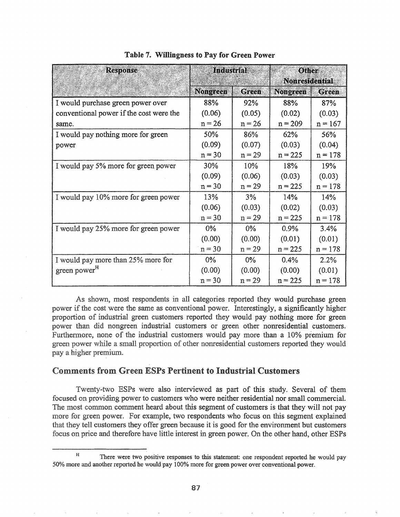| <b>Response</b>                         | <b>Industrial</b> |              | <b>Other</b><br><b>Nonresidential</b> |              |
|-----------------------------------------|-------------------|--------------|---------------------------------------|--------------|
|                                         | <b>Nongreen</b>   | <b>Green</b> | <b>Nongreen</b>                       | <b>Green</b> |
| I would purchase green power over       | 88%               | 92%          | 88%                                   | 87%          |
| conventional power if the cost were the | (0.06)            | (0.05)       | (0.02)                                | (0.03)       |
| same.                                   | $n = 26$          | $n = 26$     | $n = 209$                             | $n = 167$    |
| I would pay nothing more for green      | 50%               | 86%          | 62%                                   | 56%          |
| power                                   | (0.09)            | (0.07)       | (0.03)                                | (0.04)       |
|                                         | $n = 30$          | $n = 29$     | $n = 225$                             | $n = 178$    |
| I would pay 5% more for green power     | 30%               | 10%          | 18%                                   | 19%          |
|                                         | (0.09)            | (0.06)       | (0.03)                                | (0.03)       |
|                                         | $n = 30$          | $n = 29$     | $n = 225$                             | $n = 178$    |
| I would pay 10% more for green power    | 13%               | 3%           | 14%                                   | 14%          |
|                                         | (0.06)            | (0.03)       | (0.02)                                | (0.03)       |
|                                         | $n = 30$          | $n = 29$     | $n = 225$                             | $n = 178$    |
| I would pay 25% more for green power    | $0\%$             | $0\%$        | 0.9%                                  | 3.4%         |
|                                         | (0.00)            | (0.00)       | (0.01)                                | (0.01)       |
|                                         | $n = 30$          | $n = 29$     | $n = 225$                             | $n = 178$    |
| I would pay more than 25% more for      | $0\%$             | $0\%$        | 0.4%                                  | 2.2%         |
| green power <sup>H</sup>                | (0.00)            | (0.00)       | (0.00)                                | (0.01)       |
|                                         | $n = 30$          | $n = 29$     | $n = 225$                             | $n = 178$    |

Table 7. Willingness to Pay for Green Power

As shown, most respondents in all categories reported they would purchase green power if the cost were the same as conventional power. Interestingly, a significantly higher proportion of industrial green customers reported they would pay nothing more for green power than did nongreen industrial customers or green other nonresidential customers. Furthermore, none of the industrial customers would pay more than a 10% premium for green power while a small proportion of other nonresidential customers reported they would pay a higher premium.

# Comments from Green ESPs Pertinent to Industrial Customers

Twenty-two ESPs were also interviewed as part of this study. Several of them focused on providing power to customers who were neither residential nor small commercial.. The most common comment heard about this segment of customers is that they will not pay more for green power. For example, two respondents who focus on this segment explained that they tell customers they offer green because it is good for the environment but customers focus on price and therefore have little interest in green power. On the other hand, other ESPs

H There were two positive responses to this statement: one respondent reported he would pay 50% more and another reported he would pay 100% more for green power over conventional power.